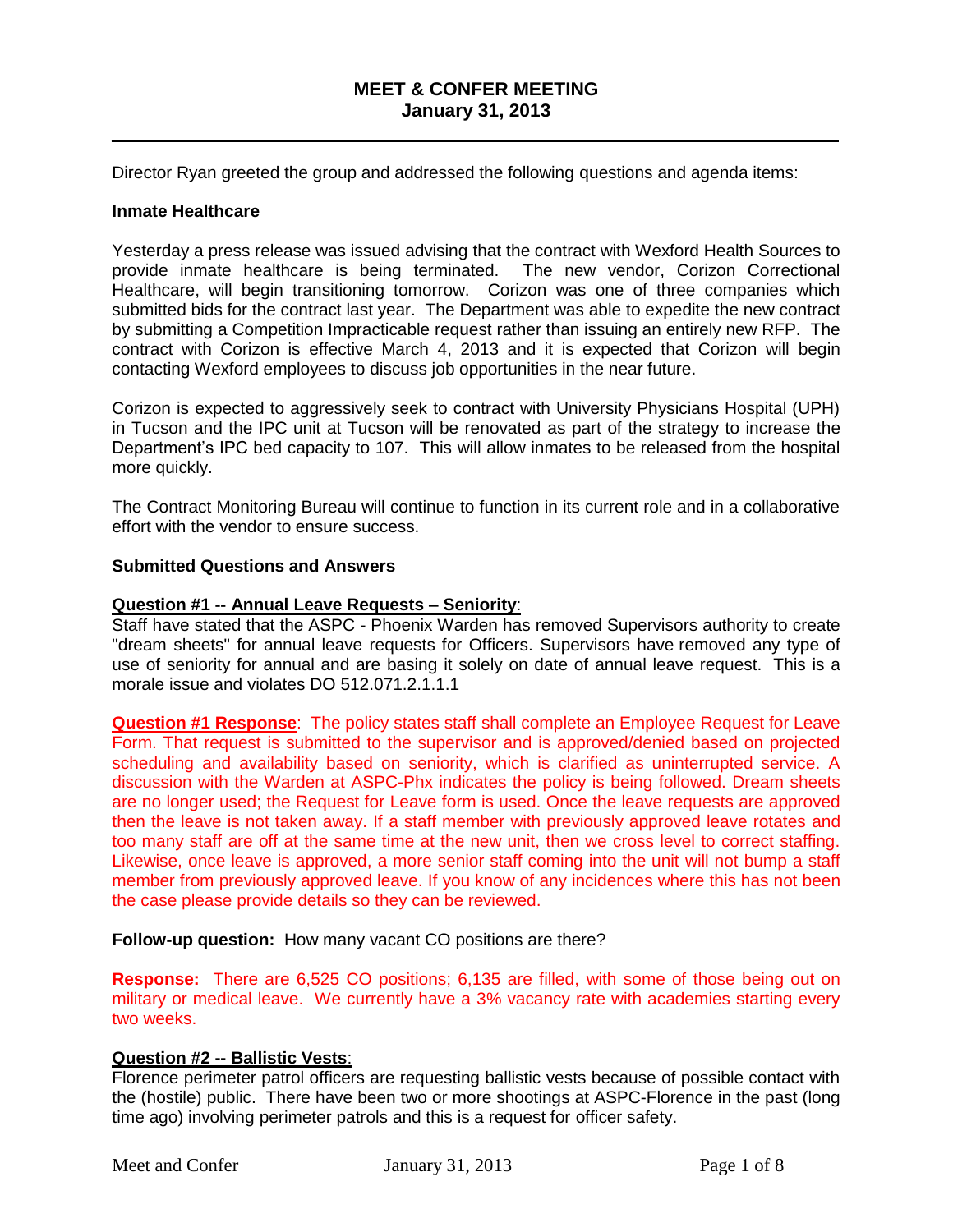# **MEET & CONFER MEETING January 31, 2013**

\_\_\_\_\_\_\_\_\_\_\_\_\_\_\_\_\_\_\_\_\_\_\_\_\_\_\_\_\_\_\_\_\_\_\_\_\_\_\_\_\_\_\_\_\_\_\_\_\_\_\_\_\_\_\_\_\_\_\_\_\_\_\_\_\_\_\_\_\_\_

Director Ryan greeted the group and addressed the following questions and agenda items:

#### **Inmate Healthcare**

Yesterday a press release was issued advising that the contract with Wexford Health Sources to provide inmate healthcare is being terminated. The new vendor, Corizon Correctional Healthcare, will begin transitioning tomorrow. Corizon was one of three companies which submitted bids for the contract last year. The Department was able to expedite the new contract by submitting a Competition Impracticable request rather than issuing an entirely new RFP. The contract with Corizon is effective March 4, 2013 and it is expected that Corizon will begin contacting Wexford employees to discuss job opportunities in the near future.

Corizon is expected to aggressively seek to contract with University Physicians Hospital (UPH) in Tucson and the IPC unit at Tucson will be renovated as part of the strategy to increase the Department's IPC bed capacity to 107. This will allow inmates to be released from the hospital more quickly.

The Contract Monitoring Bureau will continue to function in its current role and in a collaborative effort with the vendor to ensure success.

## **Submitted Questions and Answers**

#### **Question #1 -- Annual Leave Requests – Seniority**:

Staff have stated that the ASPC - Phoenix Warden has removed Supervisors authority to create "dream sheets" for annual leave requests for Officers. Supervisors have removed any type of use of seniority for annual and are basing it solely on date of annual leave request. This is a morale issue and violates DO 512.071.2.1.1.1

**Question #1 Response**: The policy states staff shall complete an Employee Request for Leave Form. That request is submitted to the supervisor and is approved/denied based on projected scheduling and availability based on seniority, which is clarified as uninterrupted service. A discussion with the Warden at ASPC-Phx indicates the policy is being followed. Dream sheets are no longer used; the Request for Leave form is used. Once the leave requests are approved then the leave is not taken away. If a staff member with previously approved leave rotates and too many staff are off at the same time at the new unit, then we cross level to correct staffing. Likewise, once leave is approved, a more senior staff coming into the unit will not bump a staff member from previously approved leave. If you know of any incidences where this has not been the case please provide details so they can be reviewed.

**Follow-up question:** How many vacant CO positions are there?

**Response:** There are 6,525 CO positions; 6,135 are filled, with some of those being out on military or medical leave. We currently have a 3% vacancy rate with academies starting every two weeks.

## **Question #2 -- Ballistic Vests**:

Florence perimeter patrol officers are requesting ballistic vests because of possible contact with the (hostile) public. There have been two or more shootings at ASPC-Florence in the past (long time ago) involving perimeter patrols and this is a request for officer safety.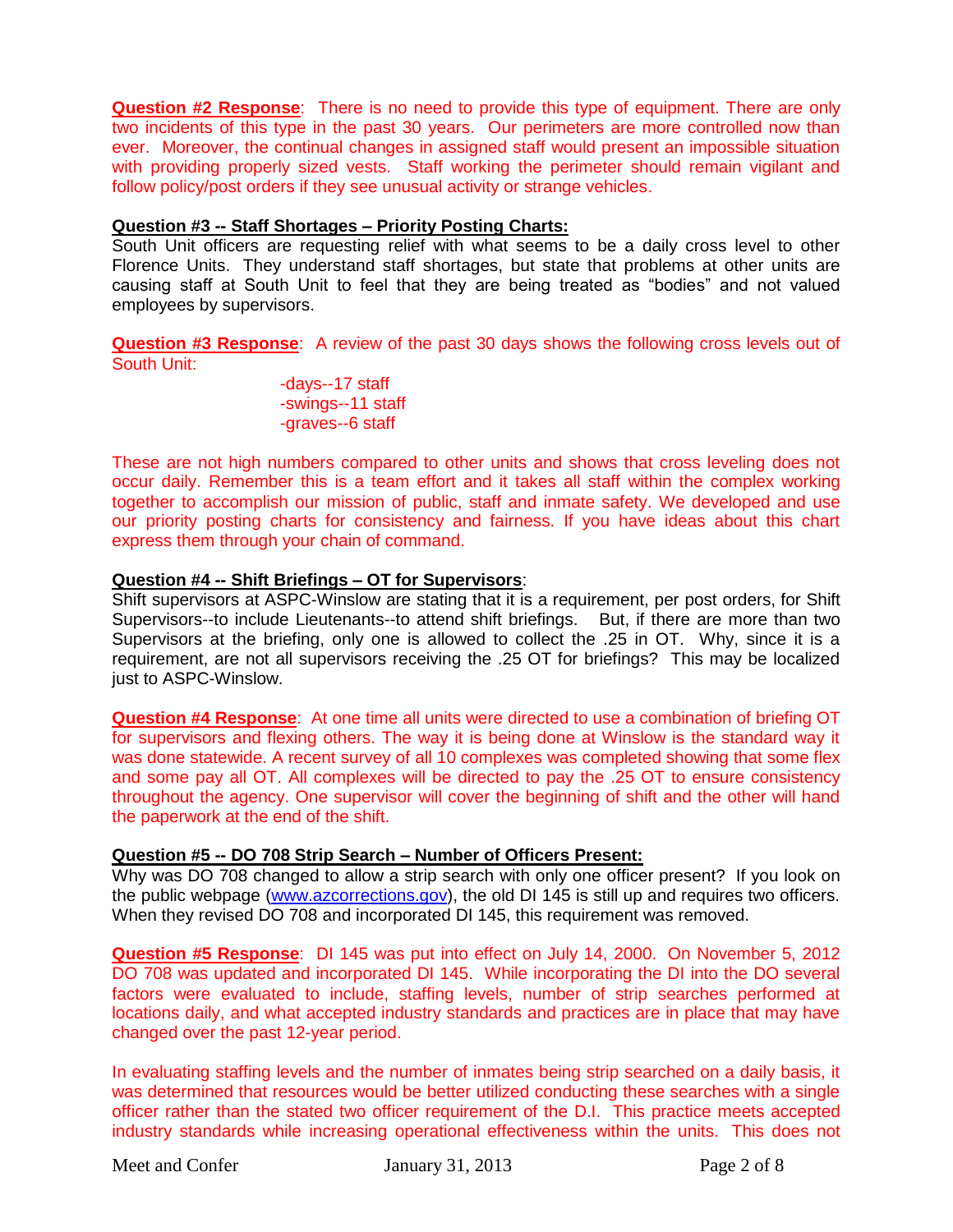**Question #2 Response**: There is no need to provide this type of equipment. There are only two incidents of this type in the past 30 years. Our perimeters are more controlled now than ever. Moreover, the continual changes in assigned staff would present an impossible situation with providing properly sized vests. Staff working the perimeter should remain vigilant and follow policy/post orders if they see unusual activity or strange vehicles.

# **Question #3 -- Staff Shortages – Priority Posting Charts:**

South Unit officers are requesting relief with what seems to be a daily cross level to other Florence Units. They understand staff shortages, but state that problems at other units are causing staff at South Unit to feel that they are being treated as "bodies" and not valued employees by supervisors.

**Question #3 Response**: A review of the past 30 days shows the following cross levels out of South Unit:

-days--17 staff -swings--11 staff -graves--6 staff

These are not high numbers compared to other units and shows that cross leveling does not occur daily. Remember this is a team effort and it takes all staff within the complex working together to accomplish our mission of public, staff and inmate safety. We developed and use our priority posting charts for consistency and fairness. If you have ideas about this chart express them through your chain of command.

## **Question #4 -- Shift Briefings – OT for Supervisors**:

Shift supervisors at ASPC-Winslow are stating that it is a requirement, per post orders, for Shift Supervisors--to include Lieutenants--to attend shift briefings. But, if there are more than two Supervisors at the briefing, only one is allowed to collect the .25 in OT. Why, since it is a requirement, are not all supervisors receiving the .25 OT for briefings? This may be localized just to ASPC-Winslow.

**Question #4 Response**: At one time all units were directed to use a combination of briefing OT for supervisors and flexing others. The way it is being done at Winslow is the standard way it was done statewide. A recent survey of all 10 complexes was completed showing that some flex and some pay all OT. All complexes will be directed to pay the .25 OT to ensure consistency throughout the agency. One supervisor will cover the beginning of shift and the other will hand the paperwork at the end of the shift.

## **Question #5 -- DO 708 Strip Search – Number of Officers Present:**

Why was DO 708 changed to allow a strip search with only one officer present? If you look on the public webpage [\(www.azcorrections.gov\)](http://www.azcorrections.gov/), the old DI 145 is still up and requires two officers. When they revised DO 708 and incorporated DI 145, this requirement was removed.

**Question #5 Response**: DI 145 was put into effect on July 14, 2000. On November 5, 2012 DO 708 was updated and incorporated DI 145. While incorporating the DI into the DO several factors were evaluated to include, staffing levels, number of strip searches performed at locations daily, and what accepted industry standards and practices are in place that may have changed over the past 12-year period.

In evaluating staffing levels and the number of inmates being strip searched on a daily basis, it was determined that resources would be better utilized conducting these searches with a single officer rather than the stated two officer requirement of the D.I. This practice meets accepted industry standards while increasing operational effectiveness within the units. This does not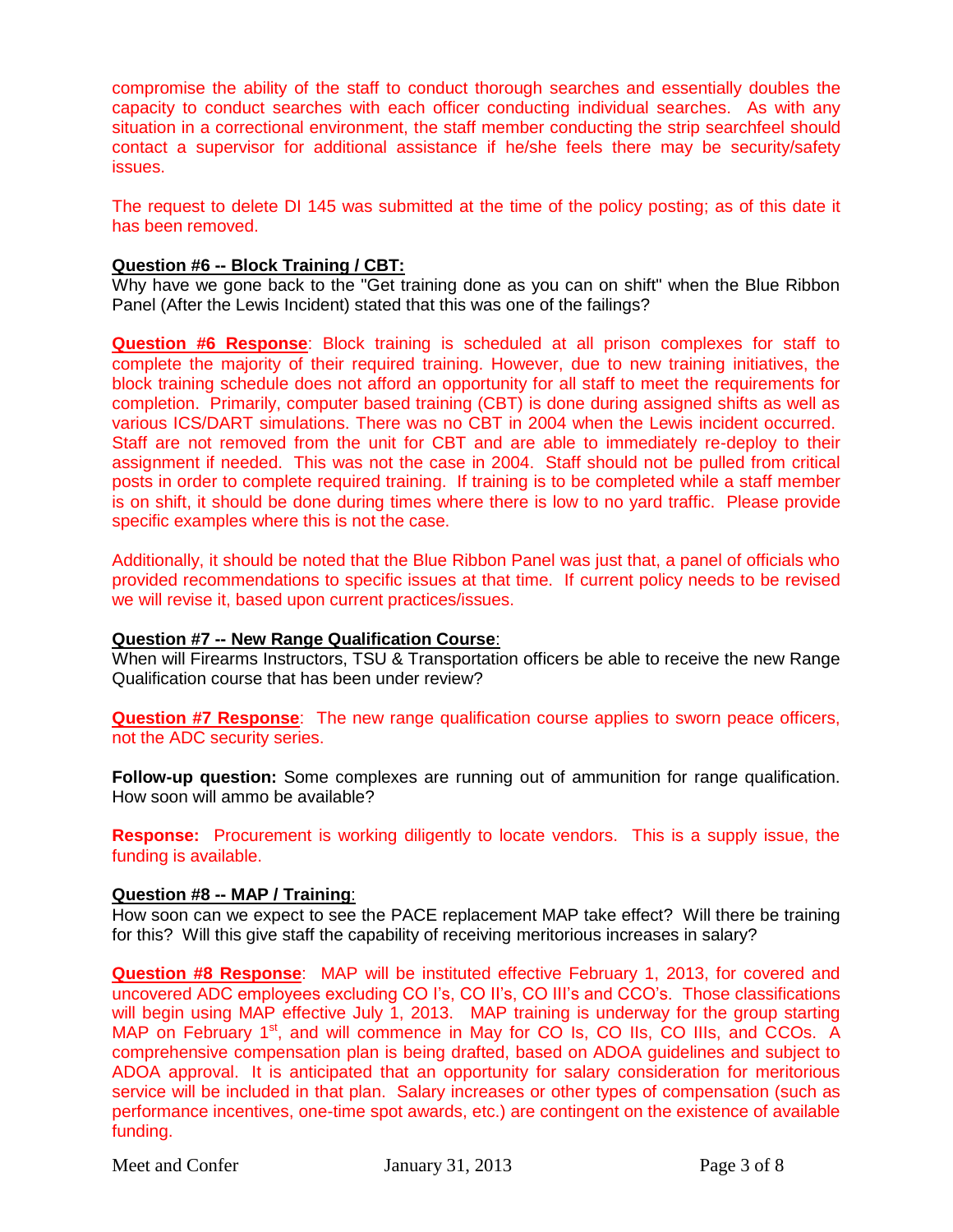compromise the ability of the staff to conduct thorough searches and essentially doubles the capacity to conduct searches with each officer conducting individual searches. As with any situation in a correctional environment, the staff member conducting the strip searchfeel should contact a supervisor for additional assistance if he/she feels there may be security/safety issues.

The request to delete DI 145 was submitted at the time of the policy posting; as of this date it has been removed.

## **Question #6 -- Block Training / CBT:**

Why have we gone back to the "Get training done as you can on shift" when the Blue Ribbon Panel (After the Lewis Incident) stated that this was one of the failings?

**Question #6 Response**: Block training is scheduled at all prison complexes for staff to complete the majority of their required training. However, due to new training initiatives, the block training schedule does not afford an opportunity for all staff to meet the requirements for completion. Primarily, computer based training (CBT) is done during assigned shifts as well as various ICS/DART simulations. There was no CBT in 2004 when the Lewis incident occurred. Staff are not removed from the unit for CBT and are able to immediately re-deploy to their assignment if needed. This was not the case in 2004. Staff should not be pulled from critical posts in order to complete required training. If training is to be completed while a staff member is on shift, it should be done during times where there is low to no yard traffic. Please provide specific examples where this is not the case.

Additionally, it should be noted that the Blue Ribbon Panel was just that, a panel of officials who provided recommendations to specific issues at that time. If current policy needs to be revised we will revise it, based upon current practices/issues.

## **Question #7 -- New Range Qualification Course**:

When will Firearms Instructors, TSU & Transportation officers be able to receive the new Range Qualification course that has been under review?

**Question #7 Response**: The new range qualification course applies to sworn peace officers, not the ADC security series.

**Follow-up question:** Some complexes are running out of ammunition for range qualification. How soon will ammo be available?

**Response:** Procurement is working diligently to locate vendors. This is a supply issue, the funding is available.

## **Question #8 -- MAP / Training**:

How soon can we expect to see the PACE replacement MAP take effect? Will there be training for this? Will this give staff the capability of receiving meritorious increases in salary?

**Question #8 Response**: MAP will be instituted effective February 1, 2013, for covered and uncovered ADC employees excluding CO I's, CO II's, CO III's and CCO's. Those classifications will begin using MAP effective July 1, 2013. MAP training is underway for the group starting MAP on February 1<sup>st</sup>, and will commence in May for CO Is, CO IIs, CO IIIs, and CCOs. A comprehensive compensation plan is being drafted, based on ADOA guidelines and subject to ADOA approval. It is anticipated that an opportunity for salary consideration for meritorious service will be included in that plan. Salary increases or other types of compensation (such as performance incentives, one-time spot awards, etc.) are contingent on the existence of available funding.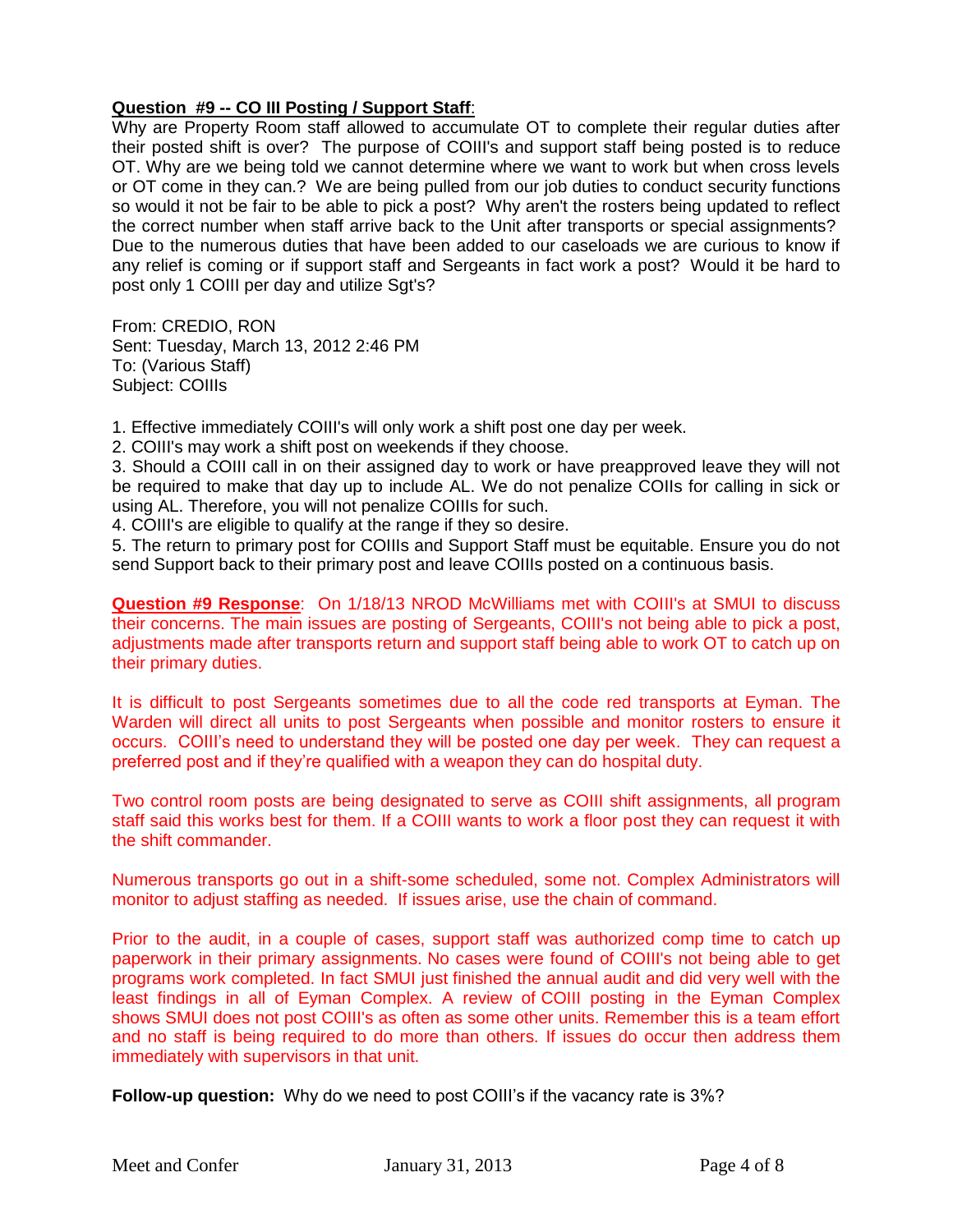# **Question #9 -- CO III Posting / Support Staff**:

Why are Property Room staff allowed to accumulate OT to complete their regular duties after their posted shift is over? The purpose of COIII's and support staff being posted is to reduce OT. Why are we being told we cannot determine where we want to work but when cross levels or OT come in they can.? We are being pulled from our job duties to conduct security functions so would it not be fair to be able to pick a post? Why aren't the rosters being updated to reflect the correct number when staff arrive back to the Unit after transports or special assignments? Due to the numerous duties that have been added to our caseloads we are curious to know if any relief is coming or if support staff and Sergeants in fact work a post? Would it be hard to post only 1 COIII per day and utilize Sgt's?

From: CREDIO, RON Sent: Tuesday, March 13, 2012 2:46 PM To: (Various Staff) Subject: COIIIs

1. Effective immediately COIII's will only work a shift post one day per week.

2. COIII's may work a shift post on weekends if they choose.

3. Should a COIII call in on their assigned day to work or have preapproved leave they will not be required to make that day up to include AL. We do not penalize COIIs for calling in sick or using AL. Therefore, you will not penalize COIIIs for such.

4. COIII's are eligible to qualify at the range if they so desire.

5. The return to primary post for COIIIs and Support Staff must be equitable. Ensure you do not send Support back to their primary post and leave COIIIs posted on a continuous basis.

**Question #9 Response**: On 1/18/13 NROD McWilliams met with COIII's at SMUI to discuss their concerns. The main issues are posting of Sergeants, COIII's not being able to pick a post, adjustments made after transports return and support staff being able to work OT to catch up on their primary duties.

It is difficult to post Sergeants sometimes due to all the code red transports at Eyman. The Warden will direct all units to post Sergeants when possible and monitor rosters to ensure it occurs. COIII's need to understand they will be posted one day per week. They can request a preferred post and if they're qualified with a weapon they can do hospital duty.

Two control room posts are being designated to serve as COIII shift assignments, all program staff said this works best for them. If a COIII wants to work a floor post they can request it with the shift commander.

Numerous transports go out in a shift-some scheduled, some not. Complex Administrators will monitor to adjust staffing as needed. If issues arise, use the chain of command.

Prior to the audit, in a couple of cases, support staff was authorized comp time to catch up paperwork in their primary assignments. No cases were found of COIII's not being able to get programs work completed. In fact SMUI just finished the annual audit and did very well with the least findings in all of Eyman Complex. A review of COIII posting in the Eyman Complex shows SMUI does not post COIII's as often as some other units. Remember this is a team effort and no staff is being required to do more than others. If issues do occur then address them immediately with supervisors in that unit.

**Follow-up question:** Why do we need to post COIII's if the vacancy rate is 3%?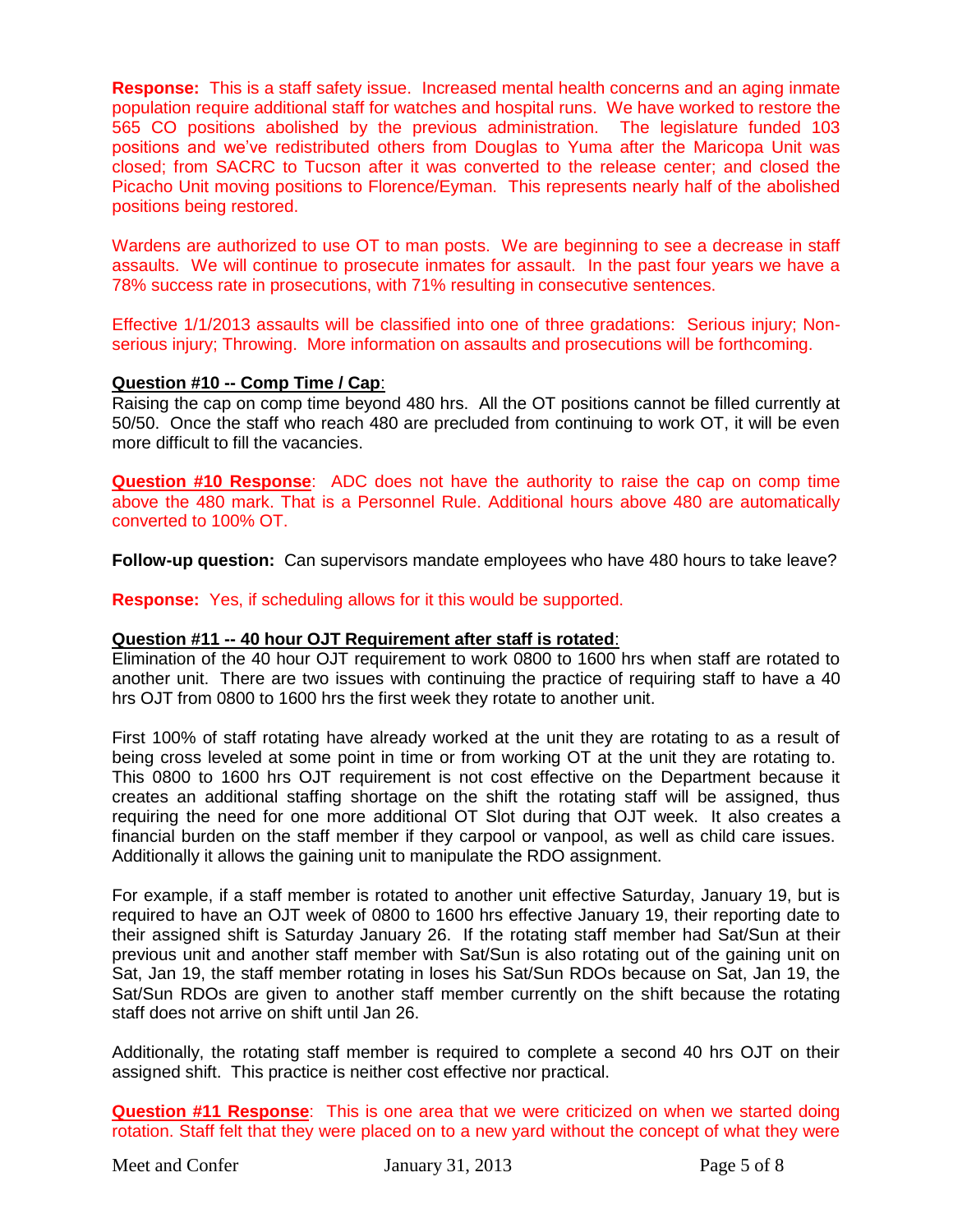**Response:** This is a staff safety issue. Increased mental health concerns and an aging inmate population require additional staff for watches and hospital runs. We have worked to restore the 565 CO positions abolished by the previous administration. The legislature funded 103 positions and we've redistributed others from Douglas to Yuma after the Maricopa Unit was closed; from SACRC to Tucson after it was converted to the release center; and closed the Picacho Unit moving positions to Florence/Eyman. This represents nearly half of the abolished positions being restored.

Wardens are authorized to use OT to man posts. We are beginning to see a decrease in staff assaults. We will continue to prosecute inmates for assault. In the past four years we have a 78% success rate in prosecutions, with 71% resulting in consecutive sentences.

Effective 1/1/2013 assaults will be classified into one of three gradations: Serious injury; Nonserious injury; Throwing. More information on assaults and prosecutions will be forthcoming.

## **Question #10 -- Comp Time / Cap**:

Raising the cap on comp time beyond 480 hrs. All the OT positions cannot be filled currently at 50/50. Once the staff who reach 480 are precluded from continuing to work OT, it will be even more difficult to fill the vacancies.

**Question #10 Response**: ADC does not have the authority to raise the cap on comp time above the 480 mark. That is a Personnel Rule. Additional hours above 480 are automatically converted to 100% OT.

**Follow-up question:** Can supervisors mandate employees who have 480 hours to take leave?

**Response:** Yes, if scheduling allows for it this would be supported.

## **Question #11 -- 40 hour OJT Requirement after staff is rotated**:

Elimination of the 40 hour OJT requirement to work 0800 to 1600 hrs when staff are rotated to another unit. There are two issues with continuing the practice of requiring staff to have a 40 hrs OJT from 0800 to 1600 hrs the first week they rotate to another unit.

First 100% of staff rotating have already worked at the unit they are rotating to as a result of being cross leveled at some point in time or from working OT at the unit they are rotating to. This 0800 to 1600 hrs OJT requirement is not cost effective on the Department because it creates an additional staffing shortage on the shift the rotating staff will be assigned, thus requiring the need for one more additional OT Slot during that OJT week. It also creates a financial burden on the staff member if they carpool or vanpool, as well as child care issues. Additionally it allows the gaining unit to manipulate the RDO assignment.

For example, if a staff member is rotated to another unit effective Saturday, January 19, but is required to have an OJT week of 0800 to 1600 hrs effective January 19, their reporting date to their assigned shift is Saturday January 26. If the rotating staff member had Sat/Sun at their previous unit and another staff member with Sat/Sun is also rotating out of the gaining unit on Sat, Jan 19, the staff member rotating in loses his Sat/Sun RDOs because on Sat, Jan 19, the Sat/Sun RDOs are given to another staff member currently on the shift because the rotating staff does not arrive on shift until Jan 26.

Additionally, the rotating staff member is required to complete a second 40 hrs OJT on their assigned shift. This practice is neither cost effective nor practical.

**Question #11 Response**: This is one area that we were criticized on when we started doing rotation. Staff felt that they were placed on to a new yard without the concept of what they were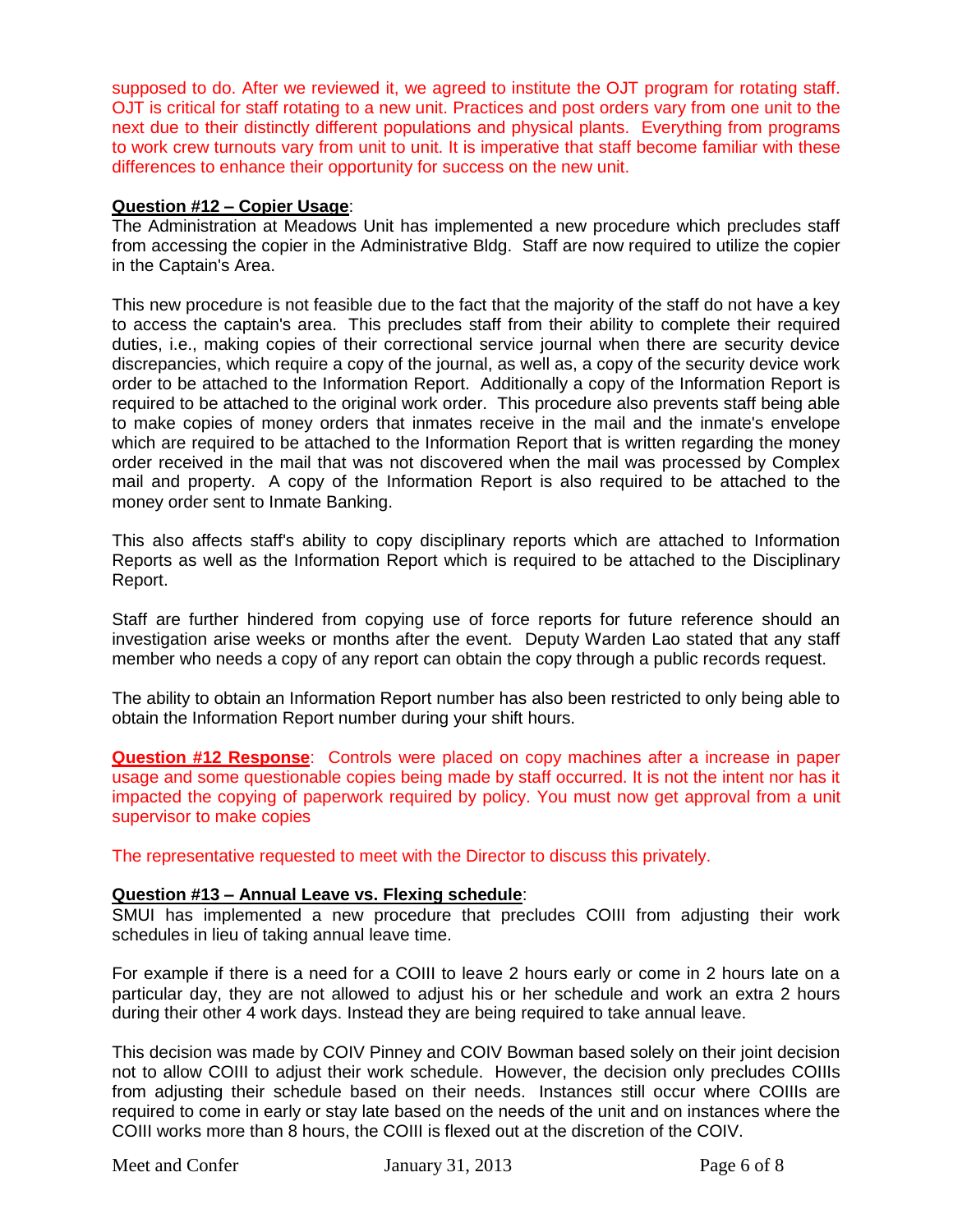supposed to do. After we reviewed it, we agreed to institute the OJT program for rotating staff. OJT is critical for staff rotating to a new unit. Practices and post orders vary from one unit to the next due to their distinctly different populations and physical plants. Everything from programs to work crew turnouts vary from unit to unit. It is imperative that staff become familiar with these differences to enhance their opportunity for success on the new unit.

## **Question #12 – Copier Usage**:

The Administration at Meadows Unit has implemented a new procedure which precludes staff from accessing the copier in the Administrative Bldg. Staff are now required to utilize the copier in the Captain's Area.

This new procedure is not feasible due to the fact that the majority of the staff do not have a key to access the captain's area. This precludes staff from their ability to complete their required duties, i.e., making copies of their correctional service journal when there are security device discrepancies, which require a copy of the journal, as well as, a copy of the security device work order to be attached to the Information Report. Additionally a copy of the Information Report is required to be attached to the original work order. This procedure also prevents staff being able to make copies of money orders that inmates receive in the mail and the inmate's envelope which are required to be attached to the Information Report that is written regarding the money order received in the mail that was not discovered when the mail was processed by Complex mail and property. A copy of the Information Report is also required to be attached to the money order sent to Inmate Banking.

This also affects staff's ability to copy disciplinary reports which are attached to Information Reports as well as the Information Report which is required to be attached to the Disciplinary Report.

Staff are further hindered from copying use of force reports for future reference should an investigation arise weeks or months after the event. Deputy Warden Lao stated that any staff member who needs a copy of any report can obtain the copy through a public records request.

The ability to obtain an Information Report number has also been restricted to only being able to obtain the Information Report number during your shift hours.

**Question #12 Response**: Controls were placed on copy machines after a increase in paper usage and some questionable copies being made by staff occurred. It is not the intent nor has it impacted the copying of paperwork required by policy. You must now get approval from a unit supervisor to make copies

The representative requested to meet with the Director to discuss this privately.

## **Question #13 – Annual Leave vs. Flexing schedule**:

SMUI has implemented a new procedure that precludes COIII from adjusting their work schedules in lieu of taking annual leave time.

For example if there is a need for a COIII to leave 2 hours early or come in 2 hours late on a particular day, they are not allowed to adjust his or her schedule and work an extra 2 hours during their other 4 work days. Instead they are being required to take annual leave.

This decision was made by COIV Pinney and COIV Bowman based solely on their joint decision not to allow COIII to adjust their work schedule. However, the decision only precludes COIIIs from adjusting their schedule based on their needs. Instances still occur where COIIIs are required to come in early or stay late based on the needs of the unit and on instances where the COIII works more than 8 hours, the COIII is flexed out at the discretion of the COIV.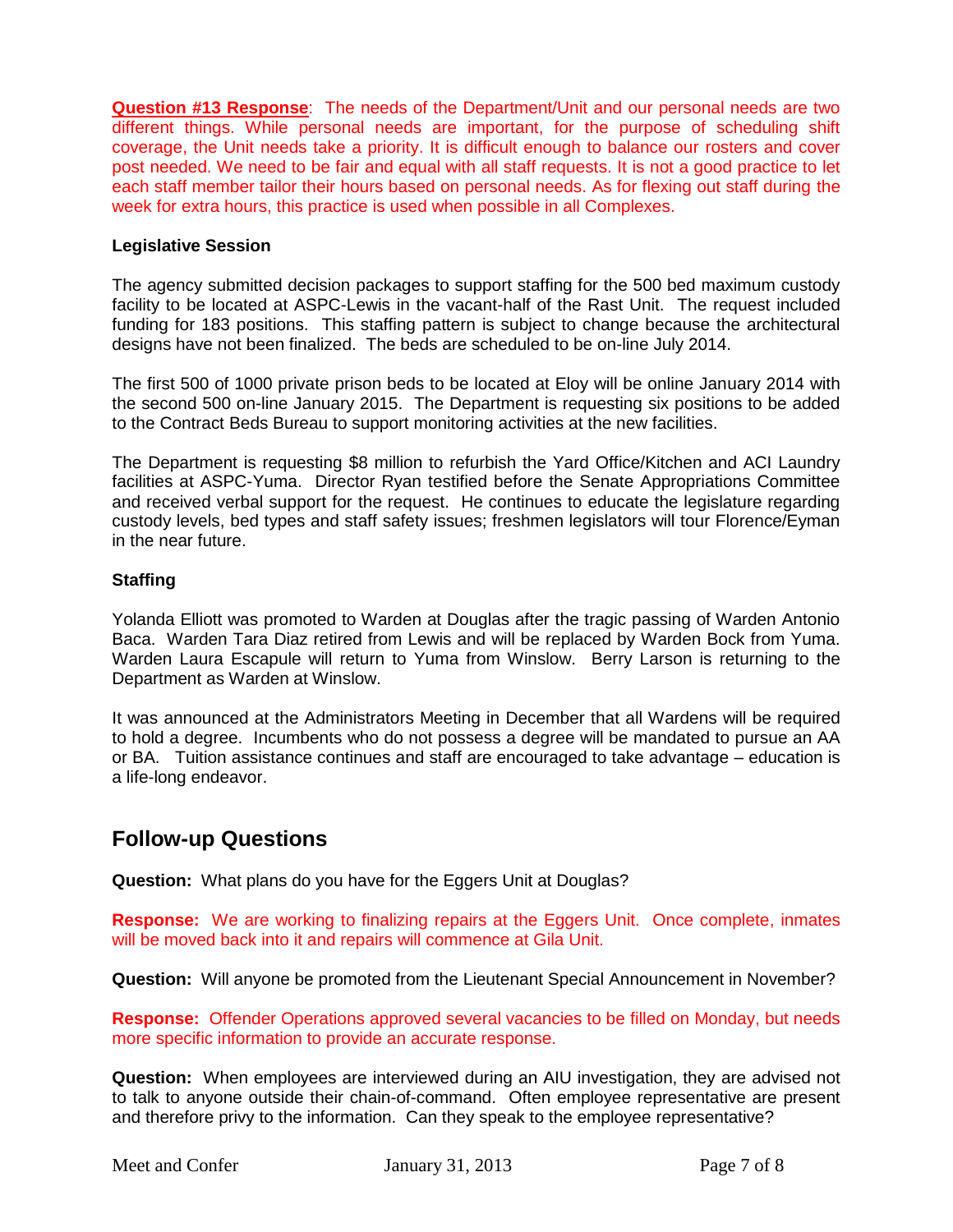**Question #13 Response**: The needs of the Department/Unit and our personal needs are two different things. While personal needs are important, for the purpose of scheduling shift coverage, the Unit needs take a priority. It is difficult enough to balance our rosters and cover post needed. We need to be fair and equal with all staff requests. It is not a good practice to let each staff member tailor their hours based on personal needs. As for flexing out staff during the week for extra hours, this practice is used when possible in all Complexes.

# **Legislative Session**

The agency submitted decision packages to support staffing for the 500 bed maximum custody facility to be located at ASPC-Lewis in the vacant-half of the Rast Unit. The request included funding for 183 positions. This staffing pattern is subject to change because the architectural designs have not been finalized. The beds are scheduled to be on-line July 2014.

The first 500 of 1000 private prison beds to be located at Eloy will be online January 2014 with the second 500 on-line January 2015. The Department is requesting six positions to be added to the Contract Beds Bureau to support monitoring activities at the new facilities.

The Department is requesting \$8 million to refurbish the Yard Office/Kitchen and ACI Laundry facilities at ASPC-Yuma. Director Ryan testified before the Senate Appropriations Committee and received verbal support for the request. He continues to educate the legislature regarding custody levels, bed types and staff safety issues; freshmen legislators will tour Florence/Eyman in the near future.

## **Staffing**

Yolanda Elliott was promoted to Warden at Douglas after the tragic passing of Warden Antonio Baca. Warden Tara Diaz retired from Lewis and will be replaced by Warden Bock from Yuma. Warden Laura Escapule will return to Yuma from Winslow. Berry Larson is returning to the Department as Warden at Winslow.

It was announced at the Administrators Meeting in December that all Wardens will be required to hold a degree. Incumbents who do not possess a degree will be mandated to pursue an AA or BA. Tuition assistance continues and staff are encouraged to take advantage – education is a life-long endeavor.

# **Follow-up Questions**

**Question:** What plans do you have for the Eggers Unit at Douglas?

**Response:** We are working to finalizing repairs at the Eggers Unit. Once complete, inmates will be moved back into it and repairs will commence at Gila Unit.

**Question:** Will anyone be promoted from the Lieutenant Special Announcement in November?

**Response:** Offender Operations approved several vacancies to be filled on Monday, but needs more specific information to provide an accurate response.

**Question:** When employees are interviewed during an AIU investigation, they are advised not to talk to anyone outside their chain-of-command. Often employee representative are present and therefore privy to the information. Can they speak to the employee representative?